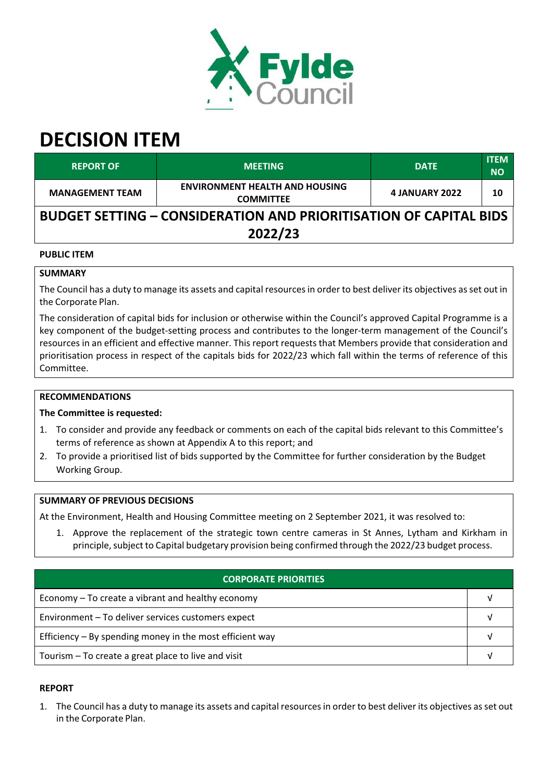

# **DECISION ITEM**

| <b>REPORT OF</b>                                                                    | <b>MEETING</b>                                            | <b>DATE</b>    | <b>ITEM</b><br><b>NO</b> |  |  |  |  |
|-------------------------------------------------------------------------------------|-----------------------------------------------------------|----------------|--------------------------|--|--|--|--|
| <b>MANAGEMENT TEAM</b>                                                              | <b>ENVIRONMENT HEALTH AND HOUSING</b><br><b>COMMITTEE</b> | 4 JANUARY 2022 | 10                       |  |  |  |  |
| <b>BUDGET SETTING – CONSIDERATION AND PRIORITISATION OF CAPITAL BIDS</b><br>2022/23 |                                                           |                |                          |  |  |  |  |
|                                                                                     |                                                           |                |                          |  |  |  |  |

## **PUBLIC ITEM**

## **SUMMARY**

The Council has a duty to manage its assets and capital resources in order to best deliver its objectives as set out in the Corporate Plan.

The consideration of capital bids for inclusion or otherwise within the Council's approved Capital Programme is a key component of the budget-setting process and contributes to the longer-term management of the Council's resources in an efficient and effective manner. This report requests that Members provide that consideration and prioritisation process in respect of the capitals bids for 2022/23 which fall within the terms of reference of this Committee.

#### **RECOMMENDATIONS**

## **The Committee is requested:**

- 1. To consider and provide any feedback or comments on each of the capital bids relevant to this Committee's terms of reference as shown at Appendix A to this report; and
- 2. To provide a prioritised list of bids supported by the Committee for further consideration by the Budget Working Group.

#### **SUMMARY OF PREVIOUS DECISIONS**

At the Environment, Health and Housing Committee meeting on 2 September 2021, it was resolved to:

1. Approve the replacement of the strategic town centre cameras in St Annes, Lytham and Kirkham in principle, subject to Capital budgetary provision being confirmed through the 2022/23 budget process.

| CORPORATE PRIORITIES                                       |  |  |  |
|------------------------------------------------------------|--|--|--|
| Economy – To create a vibrant and healthy economy          |  |  |  |
| Environment - To deliver services customers expect         |  |  |  |
| Efficiency $-$ By spending money in the most efficient way |  |  |  |
| Tourism – To create a great place to live and visit        |  |  |  |

## **REPORT**

1. The Council has a duty to manage its assets and capital resourcesin order to best deliver its objectives asset out in the Corporate Plan.